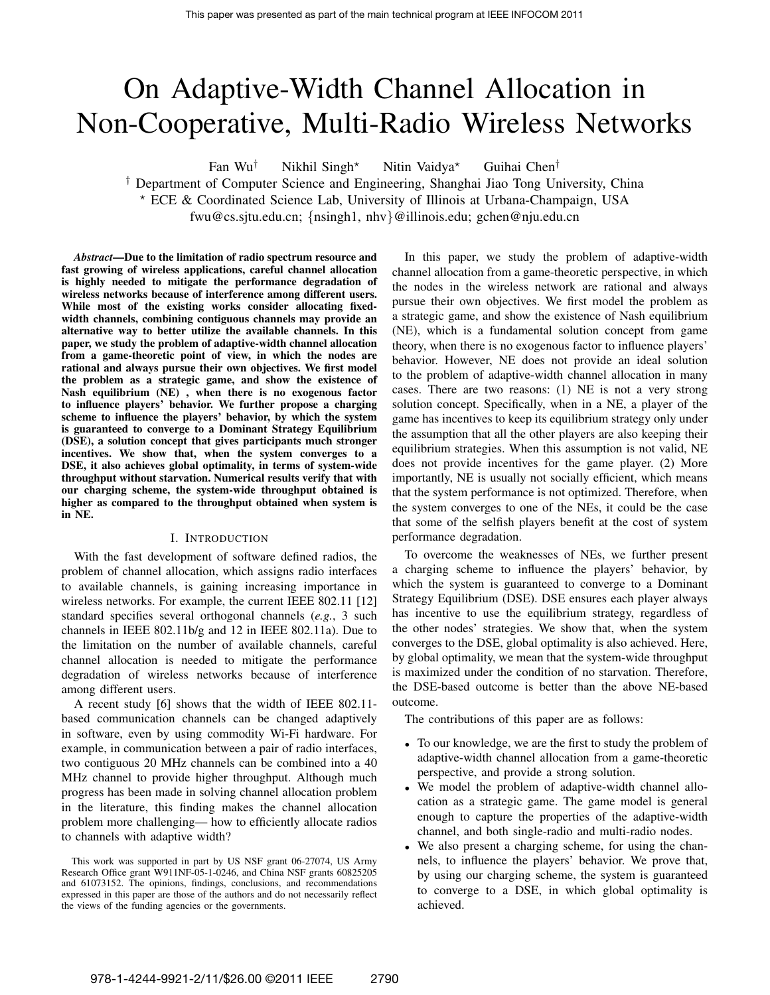# On Adaptive-Width Channel Allocation in Non-Cooperative, Multi-Radio Wireless Networks

Fan Wu*†* Nikhil Singh*?* Nitin Vaidya*?* Guihai Chen*†*

*†* Department of Computer Science and Engineering, Shanghai Jiao Tong University, China *?* ECE & Coordinated Science Lab, University of Illinois at Urbana-Champaign, USA fwu@cs.sjtu.edu.cn; *{*nsingh1, nhv*}*@illinois.edu; gchen@nju.edu.cn

*Abstract*—Due to the limitation of radio spectrum resource and fast growing of wireless applications, careful channel allocation is highly needed to mitigate the performance degradation of wireless networks because of interference among different users. While most of the existing works consider allocating fixedwidth channels, combining contiguous channels may provide an alternative way to better utilize the available channels. In this paper, we study the problem of adaptive-width channel allocation from a game-theoretic point of view, in which the nodes are rational and always pursue their own objectives. We first model the problem as a strategic game, and show the existence of Nash equilibrium (NE) , when there is no exogenous factor to influence players' behavior. We further propose a charging scheme to influence the players' behavior, by which the system is guaranteed to converge to a Dominant Strategy Equilibrium (DSE), a solution concept that gives participants much stronger incentives. We show that, when the system converges to a DSE, it also achieves global optimality, in terms of system-wide throughput without starvation. Numerical results verify that with our charging scheme, the system-wide throughput obtained is higher as compared to the throughput obtained when system is in NE.

# I. INTRODUCTION

With the fast development of software defined radios, the problem of channel allocation, which assigns radio interfaces to available channels, is gaining increasing importance in wireless networks. For example, the current IEEE 802.11 [12] standard specifies several orthogonal channels (*e.g.*, 3 such channels in IEEE 802.11b/g and 12 in IEEE 802.11a). Due to the limitation on the number of available channels, careful channel allocation is needed to mitigate the performance degradation of wireless networks because of interference among different users.

A recent study [6] shows that the width of IEEE 802.11 based communication channels can be changed adaptively in software, even by using commodity Wi-Fi hardware. For example, in communication between a pair of radio interfaces, two contiguous 20 MHz channels can be combined into a 40 MHz channel to provide higher throughput. Although much progress has been made in solving channel allocation problem in the literature, this finding makes the channel allocation problem more challenging— how to efficiently allocate radios to channels with adaptive width?

This work was supported in part by US NSF grant 06-27074, US Army Research Office grant W911NF-05-1-0246, and China NSF grants 60825205 and 61073152. The opinions, findings, conclusions, and recommendations expressed in this paper are those of the authors and do not necessarily reflect the views of the funding agencies or the governments.

In this paper, we study the problem of adaptive-width channel allocation from a game-theoretic perspective, in which the nodes in the wireless network are rational and always pursue their own objectives. We first model the problem as a strategic game, and show the existence of Nash equilibrium (NE), which is a fundamental solution concept from game theory, when there is no exogenous factor to influence players' behavior. However, NE does not provide an ideal solution to the problem of adaptive-width channel allocation in many cases. There are two reasons: (1) NE is not a very strong solution concept. Specifically, when in a NE, a player of the game has incentives to keep its equilibrium strategy only under the assumption that all the other players are also keeping their equilibrium strategies. When this assumption is not valid, NE does not provide incentives for the game player. (2) More importantly, NE is usually not socially efficient, which means that the system performance is not optimized. Therefore, when the system converges to one of the NEs, it could be the case that some of the selfish players benefit at the cost of system performance degradation.

To overcome the weaknesses of NEs, we further present a charging scheme to influence the players' behavior, by which the system is guaranteed to converge to a Dominant Strategy Equilibrium (DSE). DSE ensures each player always has incentive to use the equilibrium strategy, regardless of the other nodes' strategies. We show that, when the system converges to the DSE, global optimality is also achieved. Here, by global optimality, we mean that the system-wide throughput is maximized under the condition of no starvation. Therefore, the DSE-based outcome is better than the above NE-based outcome.

The contributions of this paper are as follows:

- *•* To our knowledge, we are the first to study the problem of adaptive-width channel allocation from a game-theoretic perspective, and provide a strong solution.
- *•* We model the problem of adaptive-width channel allocation as a strategic game. The game model is general enough to capture the properties of the adaptive-width channel, and both single-radio and multi-radio nodes.
- We also present a charging scheme, for using the channels, to influence the players' behavior. We prove that, by using our charging scheme, the system is guaranteed to converge to a DSE, in which global optimality is achieved.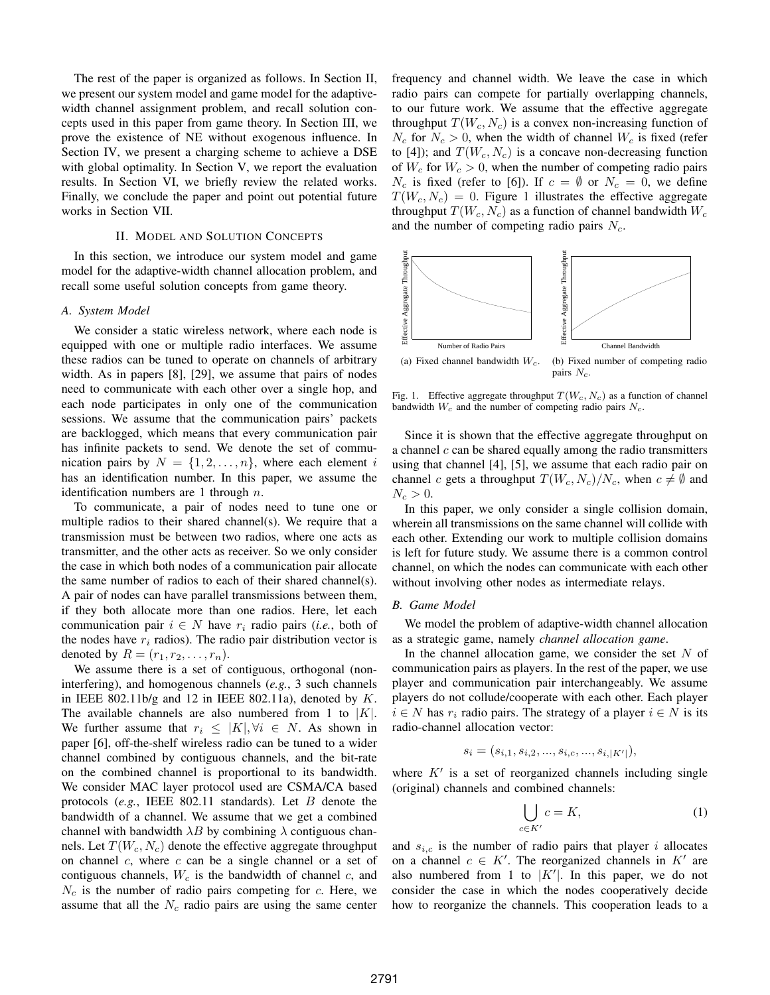The rest of the paper is organized as follows. In Section II, we present our system model and game model for the adaptivewidth channel assignment problem, and recall solution concepts used in this paper from game theory. In Section III, we prove the existence of NE without exogenous influence. In Section IV, we present a charging scheme to achieve a DSE with global optimality. In Section V, we report the evaluation results. In Section VI, we briefly review the related works. Finally, we conclude the paper and point out potential future works in Section VII.

## II. MODEL AND SOLUTION CONCEPTS

In this section, we introduce our system model and game model for the adaptive-width channel allocation problem, and recall some useful solution concepts from game theory.

#### *A. System Model*

We consider a static wireless network, where each node is equipped with one or multiple radio interfaces. We assume these radios can be tuned to operate on channels of arbitrary width. As in papers [8], [29], we assume that pairs of nodes need to communicate with each other over a single hop, and each node participates in only one of the communication sessions. We assume that the communication pairs' packets are backlogged, which means that every communication pair has infinite packets to send. We denote the set of communication pairs by  $N = \{1, 2, \ldots, n\}$ , where each element *i* has an identification number. In this paper, we assume the identification numbers are 1 through *n*.

To communicate, a pair of nodes need to tune one or multiple radios to their shared channel(s). We require that a transmission must be between two radios, where one acts as transmitter, and the other acts as receiver. So we only consider the case in which both nodes of a communication pair allocate the same number of radios to each of their shared channel(s). A pair of nodes can have parallel transmissions between them, if they both allocate more than one radios. Here, let each communication pair  $i \in N$  have  $r_i$  radio pairs (*i.e.*, both of the nodes have  $r_i$  radios). The radio pair distribution vector is denoted by  $R = (r_1, r_2, \dots, r_n)$ .

We assume there is a set of contiguous, orthogonal (noninterfering), and homogenous channels (*e.g.*, 3 such channels in IEEE 802.11b/g and 12 in IEEE 802.11a), denoted by *K*. The available channels are also numbered from 1 to *|K|*. We further assume that  $r_i \leq |K|, \forall i \in N$ . As shown in paper [6], off-the-shelf wireless radio can be tuned to a wider channel combined by contiguous channels, and the bit-rate on the combined channel is proportional to its bandwidth. We consider MAC layer protocol used are CSMA/CA based protocols (*e.g.*, IEEE 802.11 standards). Let *B* denote the bandwidth of a channel. We assume that we get a combined channel with bandwidth *λB* by combining *λ* contiguous channels. Let  $T(W_c, N_c)$  denote the effective aggregate throughput on channel *c*, where *c* can be a single channel or a set of contiguous channels, *W<sup>c</sup>* is the bandwidth of channel *c*, and *N<sup>c</sup>* is the number of radio pairs competing for *c*. Here, we assume that all the *N<sup>c</sup>* radio pairs are using the same center frequency and channel width. We leave the case in which radio pairs can compete for partially overlapping channels, to our future work. We assume that the effective aggregate throughput  $T(W_c, N_c)$  is a convex non-increasing function of  $N_c$  for  $N_c > 0$ , when the width of channel  $W_c$  is fixed (refer to [4]); and  $T(W_c, N_c)$  is a concave non-decreasing function of  $W_c$  for  $W_c > 0$ , when the number of competing radio pairs *N<sub>c</sub>* is fixed (refer to [6]). If  $c = \emptyset$  or  $N_c = 0$ , we define  $T(W_c, N_c) = 0$ . Figure 1 illustrates the effective aggregate throughput  $T(W_c, N_c)$  as a function of channel bandwidth  $W_c$ and the number of competing radio pairs *Nc*.



Fig. 1. Effective aggregate throughput  $T(W_c, N_c)$  as a function of channel bandwidth *Wc* and the number of competing radio pairs *Nc*.

Since it is shown that the effective aggregate throughput on a channel *c* can be shared equally among the radio transmitters using that channel [4], [5], we assume that each radio pair on channel *c* gets a throughput  $T(W_c, N_c)/N_c$ , when  $c \neq \emptyset$  and  $N_c > 0$ .

In this paper, we only consider a single collision domain, wherein all transmissions on the same channel will collide with each other. Extending our work to multiple collision domains is left for future study. We assume there is a common control channel, on which the nodes can communicate with each other without involving other nodes as intermediate relays.

#### *B. Game Model*

We model the problem of adaptive-width channel allocation as a strategic game, namely *channel allocation game*.

In the channel allocation game, we consider the set *N* of communication pairs as players. In the rest of the paper, we use player and communication pair interchangeably. We assume players do not collude/cooperate with each other. Each player *i*  $∈$  *N* has  $r_i$  radio pairs. The strategy of a player  $i ∈ N$  is its radio-channel allocation vector:

$$
s_i = (s_{i,1}, s_{i,2}, ..., s_{i,c}, ..., s_{i,|K'|}),
$$

where  $K'$  is a set of reorganized channels including single (original) channels and combined channels:

$$
\bigcup_{c \in K'} c = K,\tag{1}
$$

and  $s_{i,c}$  is the number of radio pairs that player *i* allocates on a channel  $c \in K'$ . The reorganized channels in  $K'$  are also numbered from 1 to  $|K'|$ . In this paper, we do not consider the case in which the nodes cooperatively decide how to reorganize the channels. This cooperation leads to a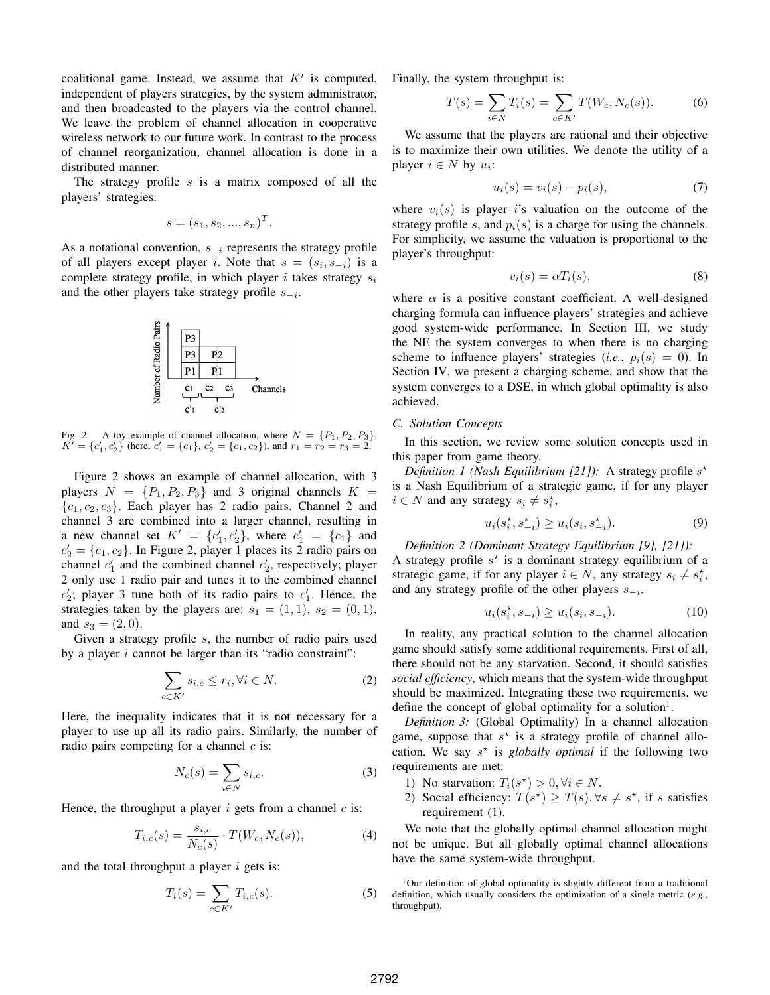coalitional game. Instead, we assume that  $K'$  is computed, independent of players strategies, by the system administrator, and then broadcasted to the players via the control channel. We leave the problem of channel allocation in cooperative wireless network to our future work. In contrast to the process of channel reorganization, channel allocation is done in a distributed manner.

The strategy profile *s* is a matrix composed of all the players' strategies:

$$
s = (s_1, s_2, ..., s_n)^T.
$$

As a notational convention, *s−<sup>i</sup>* represents the strategy profile of all players except player *i*. Note that  $s = (s_i, s_{-i})$  is a complete strategy profile, in which player *i* takes strategy *s<sup>i</sup>* and the other players take strategy profile *s−<sup>i</sup>* .



Fig. 2. A toy example of channel allocation, where  $N = \{P_1, P_2, P_3\}$ ,  $K' = \{c'_1, c'_2\}$  (here,  $c'_1 = \{c_1\}$ ,  $c'_2 = \{c_1, c_2\}$ ), and  $r_1 = r_2 = r_3 = 2$ .

Figure 2 shows an example of channel allocation, with 3 players  $N = \{P_1, P_2, P_3\}$  and 3 original channels  $K =$  ${c_1, c_2, c_3}$ . Each player has 2 radio pairs. Channel 2 and channel 3 are combined into a larger channel, resulting in a new channel set  $K' = \{c'_1, c'_2\}$ , where  $c'_1 = \{c_1\}$  and  $c'_2 = \{c_1, c_2\}$ . In Figure 2, player 1 places its 2 radio pairs on channel  $c'_1$  and the combined channel  $c'_2$ , respectively; player 2 only use 1 radio pair and tunes it to the combined channel  $c_2$ ; player 3 tune both of its radio pairs to  $c_1$ . Hence, the strategies taken by the players are:  $s_1 = (1, 1), s_2 = (0, 1),$ and  $s_3 = (2, 0)$ .

Given a strategy profile *s*, the number of radio pairs used by a player *i* cannot be larger than its "radio constraint":

$$
\sum_{c \in K'} s_{i,c} \le r_i, \forall i \in N.
$$
 (2)

Here, the inequality indicates that it is not necessary for a player to use up all its radio pairs. Similarly, the number of radio pairs competing for a channel *c* is:

$$
N_c(s) = \sum_{i \in N} s_{i,c}.\tag{3}
$$

Hence, the throughput a player *i* gets from a channel *c* is:

$$
T_{i,c}(s) = \frac{s_{i,c}}{N_c(s)} \cdot T(W_c, N_c(s)),
$$
\n(4)

and the total throughput a player *i* gets is:

$$
T_i(s) = \sum_{c \in K'} T_{i,c}(s). \tag{5}
$$

Finally, the system throughput is:

$$
T(s) = \sum_{i \in N} T_i(s) = \sum_{c \in K'} T(W_c, N_c(s)).
$$
 (6)

We assume that the players are rational and their objective is to maximize their own utilities. We denote the utility of a player  $i \in N$  by  $u_i$ :

$$
u_i(s) = v_i(s) - p_i(s),
$$
 (7)

where  $v_i(s)$  is player *i*'s valuation on the outcome of the strategy profile  $s$ , and  $p_i(s)$  is a charge for using the channels. For simplicity, we assume the valuation is proportional to the player's throughput:

$$
v_i(s) = \alpha T_i(s),\tag{8}
$$

where  $\alpha$  is a positive constant coefficient. A well-designed charging formula can influence players' strategies and achieve good system-wide performance. In Section III, we study the NE the system converges to when there is no charging scheme to influence players' strategies (*i.e.*,  $p_i(s) = 0$ ). In Section IV, we present a charging scheme, and show that the system converges to a DSE, in which global optimality is also achieved.

#### *C. Solution Concepts*

In this section, we review some solution concepts used in this paper from game theory.

*Definition 1 (Nash Equilibrium [21]):* A strategy profile *s ?* is a Nash Equilibrium of a strategic game, if for any player  $i \in N$  and any strategy  $s_i \neq s_i^*$ ,

$$
u_i(s_i^*, s_{-i}^*) \ge u_i(s_i, s_{-i}^*). \tag{9}
$$

*Definition 2 (Dominant Strategy Equilibrium [9], [21]):* A strategy profile  $s^*$  is a dominant strategy equilibrium of a strategic game, if for any player  $i \in N$ , any strategy  $s_i \neq s_i^*$ , and any strategy profile of the other players *s−<sup>i</sup>* ,

$$
u_i(s_i^*, s_{-i}) \ge u_i(s_i, s_{-i}).
$$
\n(10)

In reality, any practical solution to the channel allocation game should satisfy some additional requirements. First of all, there should not be any starvation. Second, it should satisfies *social efficiency*, which means that the system-wide throughput should be maximized. Integrating these two requirements, we define the concept of global optimality for a solution<sup>1</sup>.

*Definition 3:* (Global Optimality) In a channel allocation game, suppose that  $s^*$  is a strategy profile of channel allocation. We say  $s^*$  is *globally optimal* if the following two requirements are met:

- 1) No starvation:  $T_i(s^*) > 0, \forall i \in N$ .
- 2) Social efficiency:  $T(s^*) \geq T(s), \forall s \neq s^*$ , if *s* satisfies requirement (1).

We note that the globally optimal channel allocation might not be unique. But all globally optimal channel allocations have the same system-wide throughput.

<sup>&</sup>lt;sup>1</sup>Our definition of global optimality is slightly different from a traditional definition, which usually considers the optimization of a single metric (*e.g.*, throughput).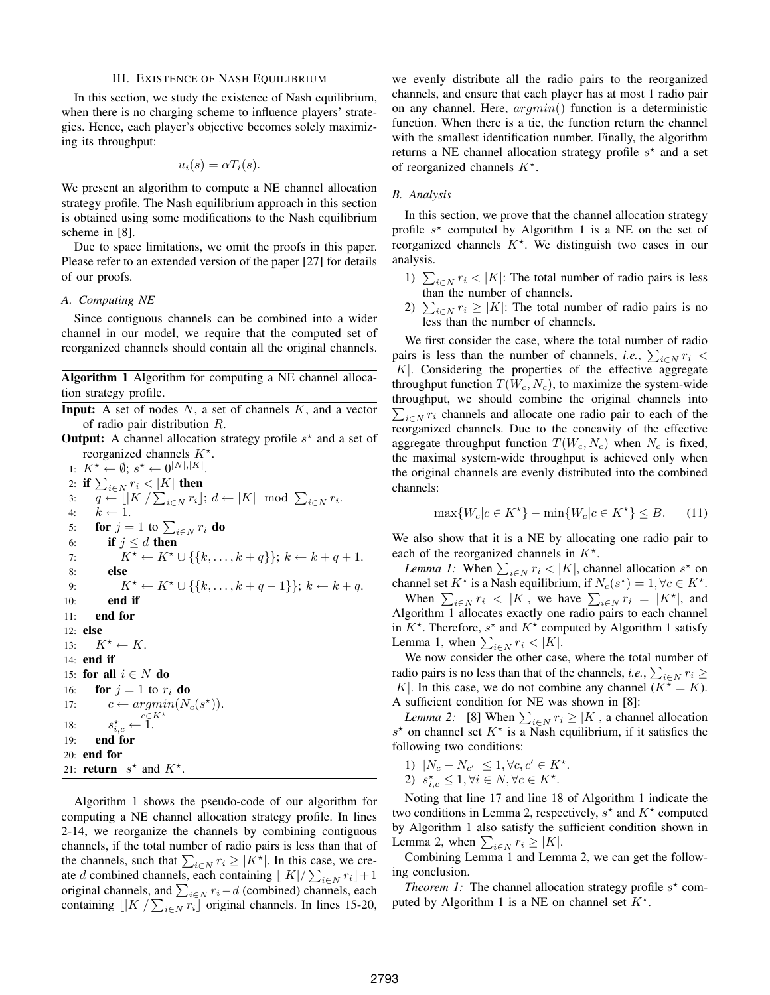#### III. EXISTENCE OF NASH EQUILIBRIUM

In this section, we study the existence of Nash equilibrium, when there is no charging scheme to influence players' strategies. Hence, each player's objective becomes solely maximizing its throughput:

$$
u_i(s) = \alpha T_i(s).
$$

We present an algorithm to compute a NE channel allocation strategy profile. The Nash equilibrium approach in this section is obtained using some modifications to the Nash equilibrium scheme in [8].

Due to space limitations, we omit the proofs in this paper. Please refer to an extended version of the paper [27] for details of our proofs.

#### *A. Computing NE*

Since contiguous channels can be combined into a wider channel in our model, we require that the computed set of reorganized channels should contain all the original channels.

Algorithm 1 Algorithm for computing a NE channel allocation strategy profile.

Input: A set of nodes *N*, a set of channels *K*, and a vector of radio pair distribution *R*.

Output: A channel allocation strategy profile  $s^*$  and a set of reorganized channels *K?* .

1:  $K^* \leftarrow \emptyset$ ;  $s^* \leftarrow 0^{|N|, |K|}$ . 2: if  $\sum_{i \in N} r_i < |K|$  then 3:  $q \leftarrow [K]/\sum_{i \in N} r_i]; d \leftarrow [K] \mod \sum_{i \in N} r_i.$ 4:  $k \leftarrow 1$ . 5: **for**  $j = 1$  to  $\sum_{i \in N} r_i$  do 6: if  $j \leq d$  then 7:  $K^* \leftarrow K^* \cup \{\{k, \ldots, k+q\}\}; k \leftarrow k+q+1.$ 8: else 9:  $K^*$  ←  $K^*$  ∪ {{ $k, ..., k + q - 1$ }};  $k$  ←  $k + q$ . 10: end if 11: end for 12: else 13:  $K^* \leftarrow K$ . 14: end if 15: for all  $i \in N$  do 16: **for**  $j = 1$  to  $r_i$  do 17:  $c \leftarrow argmin(N_c(s^{\star}))$ . *c∈K?* 18: *s ?*  $\tau_{i,c}^{\star} \leftarrow 1.$ 19: end for 20: end for 21: **return**  $s^*$  and  $K^*$ .

Algorithm 1 shows the pseudo-code of our algorithm for computing a NE channel allocation strategy profile. In lines 2-14, we reorganize the channels by combining contiguous channels, if the total number of radio pairs is less than that of the channels, such that  $\sum_{i \in N} r_i \ge |K^\star|$ . In this case, we create *d* combined channels, each containing  $\lfloor |K| / \sum_{i \in N} r_i \rfloor + 1$ original channels, and  $\sum_{i \in N} r_i - d$  (combined) channels, each containing  $\lfloor |K| / \sum_{i \in N} r_i \rfloor$  original channels. In lines 15-20,

we evenly distribute all the radio pairs to the reorganized channels, and ensure that each player has at most 1 radio pair on any channel. Here, *argmin*() function is a deterministic function. When there is a tie, the function return the channel with the smallest identification number. Finally, the algorithm returns a NE channel allocation strategy profile  $s^*$  and a set of reorganized channels *K?* .

#### *B. Analysis*

In this section, we prove that the channel allocation strategy profile  $s^*$  computed by Algorithm 1 is a NE on the set of reorganized channels *K?* . We distinguish two cases in our analysis.

- 1)  $\sum_{i \in N} r_i < |K|$ : The total number of radio pairs is less than the number of channels.
- 2)  $\sum_{i \in N} r_i \ge |K|$ : The total number of radio pairs is no less than the number of channels.

We first consider the case, where the total number of radio pairs is less than the number of channels, *i.e.*,  $\sum_{i \in N} r_i <$ *|K|*. Considering the properties of the effective aggregate throughput function  $T(W_c, N_c)$ , to maximize the system-wide throughput, we should combine the original channels into  $\sum_{i \in \mathbb{N}} r_i$  channels and allocate one radio pair to each of the reorganized channels. Due to the concavity of the effective aggregate throughput function  $T(W_c, N_c)$  when  $N_c$  is fixed, the maximal system-wide throughput is achieved only when the original channels are evenly distributed into the combined channels:

$$
\max\{W_c|c \in K^{\star}\} - \min\{W_c|c \in K^{\star}\} \le B. \tag{11}
$$

We also show that it is a NE by allocating one radio pair to each of the reorganized channels in *K?* .

*Lemma 1:* When  $\sum_{i \in N} r_i \leq |K|$ , channel allocation  $s^*$  on channel set  $K^*$  is a Nash equilibrium, if  $N_c(s^*) = 1, \forall c \in K^*$ . When  $\sum_{i \in N} r_i \le |K|$ , we have  $\sum_{i \in N} r_i = |K^*|$ , and Algorithm 1 allocates exactly one radio pairs to each channel in  $K^*$ . Therefore,  $s^*$  and  $K^*$  computed by Algorithm 1 satisfy Lemma 1, when  $\sum_{i \in N} r_i < |K|$ .

We now consider the other case, where the total number of radio pairs is no less than that of the channels, *i.e.*,  $\sum_{i \in N} r_i \geq$  $|K|$ . In this case, we do not combine any channel  $(K^* = K)$ . A sufficient condition for NE was shown in [8]:

*Lemma* 2: [8] When  $\sum_{i \in N} r_i \ge |K|$ , a channel allocation  $s^*$  on channel set  $K^*$  is a Nash equilibrium, if it satisfies the following two conditions:

1) 
$$
|N_c - N_{c'}| \leq 1, \forall c, c' \in K^*.
$$

2) 
$$
s_{i,c}^{\star} \leq 1, \forall i \in N, \forall c \in K^{\star}
$$
.

Noting that line 17 and line 18 of Algorithm 1 indicate the two conditions in Lemma 2, respectively,  $s^*$  and  $K^*$  computed by Algorithm 1 also satisfy the sufficient condition shown in Lemma 2, when  $\sum_{i \in N} r_i \ge |K|$ .

Combining Lemma 1 and Lemma 2, we can get the following conclusion.

*Theorem 1:* The channel allocation strategy profile  $s^*$  computed by Algorithm 1 is a NE on channel set  $K^*$ .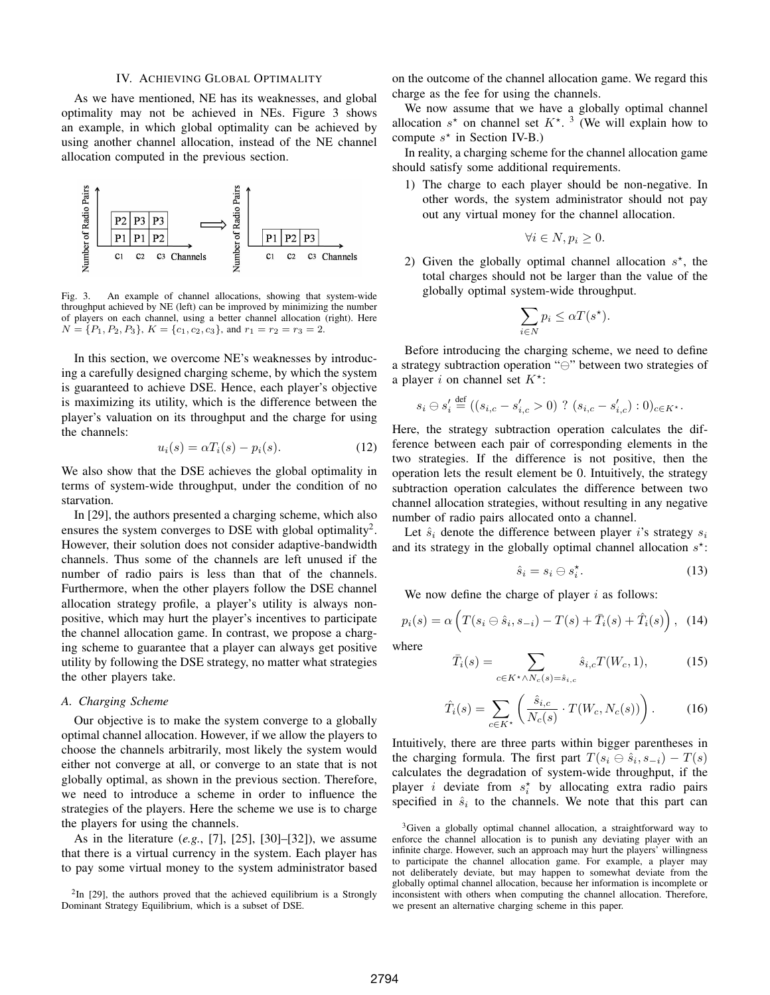#### IV. ACHIEVING GLOBAL OPTIMALITY

As we have mentioned, NE has its weaknesses, and global optimality may not be achieved in NEs. Figure 3 shows an example, in which global optimality can be achieved by using another channel allocation, instead of the NE channel allocation computed in the previous section.



Fig. 3. An example of channel allocations, showing that system-wide throughput achieved by NE (left) can be improved by minimizing the number of players on each channel, using a better channel allocation (right). Here  $N = \{P_1, P_2, P_3\}, K = \{c_1, c_2, c_3\}, \text{ and } r_1 = r_2 = r_3 = 2.$ 

In this section, we overcome NE's weaknesses by introducing a carefully designed charging scheme, by which the system is guaranteed to achieve DSE. Hence, each player's objective is maximizing its utility, which is the difference between the player's valuation on its throughput and the charge for using the channels:

$$
u_i(s) = \alpha T_i(s) - p_i(s). \tag{12}
$$

We also show that the DSE achieves the global optimality in terms of system-wide throughput, under the condition of no starvation.

In [29], the authors presented a charging scheme, which also ensures the system converges to DSE with global optimality<sup>2</sup>. However, their solution does not consider adaptive-bandwidth channels. Thus some of the channels are left unused if the number of radio pairs is less than that of the channels. Furthermore, when the other players follow the DSE channel allocation strategy profile, a player's utility is always nonpositive, which may hurt the player's incentives to participate the channel allocation game. In contrast, we propose a charging scheme to guarantee that a player can always get positive utility by following the DSE strategy, no matter what strategies the other players take.

# *A. Charging Scheme*

Our objective is to make the system converge to a globally optimal channel allocation. However, if we allow the players to choose the channels arbitrarily, most likely the system would either not converge at all, or converge to an state that is not globally optimal, as shown in the previous section. Therefore, we need to introduce a scheme in order to influence the strategies of the players. Here the scheme we use is to charge the players for using the channels.

As in the literature (*e.g.*, [7], [25], [30]–[32]), we assume that there is a virtual currency in the system. Each player has to pay some virtual money to the system administrator based

 ${}^{2}$ In [29], the authors proved that the achieved equilibrium is a Strongly Dominant Strategy Equilibrium, which is a subset of DSE.

on the outcome of the channel allocation game. We regard this charge as the fee for using the channels.

We now assume that we have a globally optimal channel allocation  $s^*$  on channel set  $K^*$ .<sup>3</sup> (We will explain how to compute  $s^*$  in Section IV-B.)

In reality, a charging scheme for the channel allocation game should satisfy some additional requirements.

1) The charge to each player should be non-negative. In other words, the system administrator should not pay out any virtual money for the channel allocation.

$$
\forall i \in N, p_i \ge 0.
$$

2) Given the globally optimal channel allocation  $s^*$ , the total charges should not be larger than the value of the globally optimal system-wide throughput.

$$
\sum_{i \in N} p_i \le \alpha T(s^*).
$$

Before introducing the charging scheme, we need to define a strategy subtraction operation "*ª*" between two strategies of a player *i* on channel set *K?* :

$$
s_i \ominus s'_i \stackrel{\text{def}}{=} ((s_{i,c} - s'_{i,c} > 0) ? (s_{i,c} - s'_{i,c}) : 0)_{c \in K^*}.
$$

Here, the strategy subtraction operation calculates the difference between each pair of corresponding elements in the two strategies. If the difference is not positive, then the operation lets the result element be 0. Intuitively, the strategy subtraction operation calculates the difference between two channel allocation strategies, without resulting in any negative number of radio pairs allocated onto a channel.

Let  $\hat{s}_i$  denote the difference between player *i*'s strategy  $s_i$ and its strategy in the globally optimal channel allocation *s ?* :

$$
\hat{s}_i = s_i \ominus s_i^\star. \tag{13}
$$

We now define the charge of player *i* as follows:

$$
p_i(s) = \alpha \left( T(s_i \ominus \hat{s}_i, s_{-i}) - T(s) + \bar{T}_i(s) + \hat{T}_i(s) \right), \tag{14}
$$

where

$$
\bar{T}_i(s) = \sum_{c \in K^* \wedge N_c(s) = \hat{s}_{i,c}} \hat{s}_{i,c} T(W_c, 1),\tag{15}
$$

$$
\hat{T}_i(s) = \sum_{c \in K^\star} \left( \frac{\hat{s}_{i,c}}{N_c(s)} \cdot T(W_c, N_c(s)) \right). \tag{16}
$$

Intuitively, there are three parts within bigger parentheses in the charging formula. The first part  $T(s_i \oplus \hat{s}_i, s_{-i}) - T(s)$ calculates the degradation of system-wide throughput, if the player *i* deviate from  $s_i^*$  by allocating extra radio pairs specified in  $\hat{s}_i$  to the channels. We note that this part can

<sup>&</sup>lt;sup>3</sup>Given a globally optimal channel allocation, a straightforward way to enforce the channel allocation is to punish any deviating player with an infinite charge. However, such an approach may hurt the players' willingness to participate the channel allocation game. For example, a player may not deliberately deviate, but may happen to somewhat deviate from the globally optimal channel allocation, because her information is incomplete or inconsistent with others when computing the channel allocation. Therefore, we present an alternative charging scheme in this paper.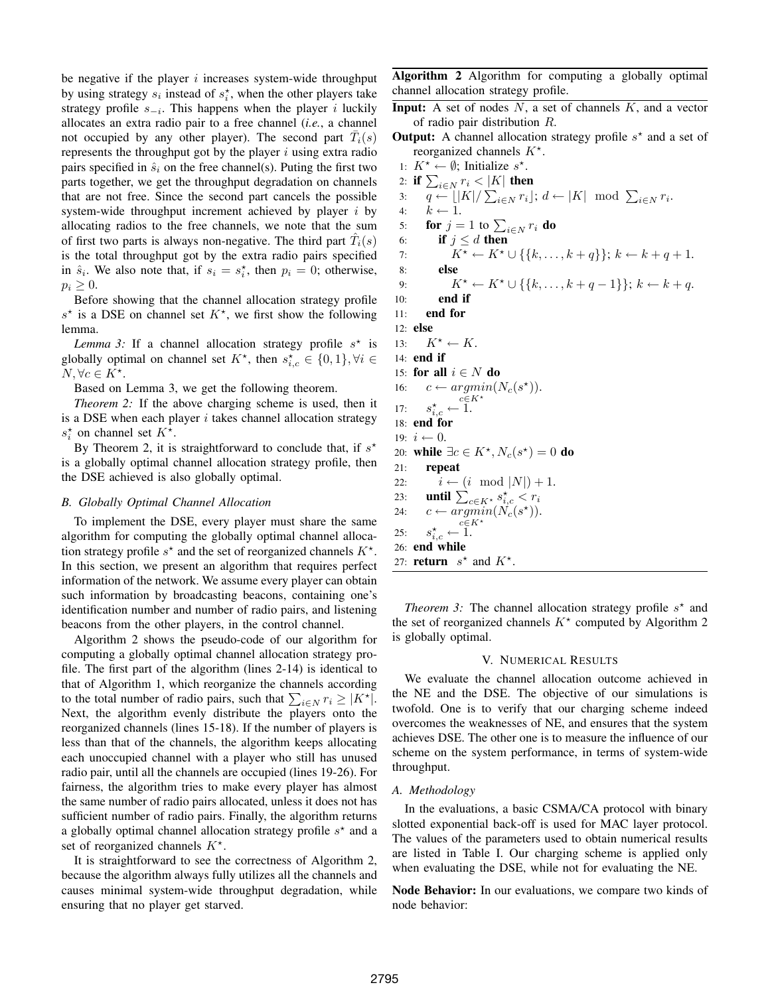be negative if the player *i* increases system-wide throughput by using strategy  $s_i$  instead of  $s_i^*$ , when the other players take strategy profile *s−<sup>i</sup>* . This happens when the player *i* luckily allocates an extra radio pair to a free channel (*i.e.*, a channel not occupied by any other player). The second part  $\overline{T}_i(s)$ represents the throughput got by the player *i* using extra radio pairs specified in  $\hat{s}_i$  on the free channel(s). Puting the first two parts together, we get the throughput degradation on channels that are not free. Since the second part cancels the possible system-wide throughput increment achieved by player *i* by allocating radios to the free channels, we note that the sum of first two parts is always non-negative. The third part  $\hat{T}_i(s)$ is the total throughput got by the extra radio pairs specified in  $\hat{s}_i$ . We also note that, if  $s_i = s_i^*$ , then  $p_i = 0$ ; otherwise,  $p_i \geq 0$ .

Before showing that the channel allocation strategy profile  $s^*$  is a DSE on channel set  $K^*$ , we first show the following lemma.

*Lemma 3:* If a channel allocation strategy profile  $s^*$  is globally optimal on channel set  $K^*$ , then  $s_{i,c}^* \in \{0,1\}$ ,  $\forall i \in$ *N*,  $∀c ∈ K<sup>*</sup>$ .

Based on Lemma 3, we get the following theorem.

*Theorem 2:* If the above charging scheme is used, then it is a DSE when each player *i* takes channel allocation strategy  $s_i^*$  on channel set  $K^*$ .

By Theorem 2, it is straightforward to conclude that, if  $s^*$ is a globally optimal channel allocation strategy profile, then the DSE achieved is also globally optimal.

#### *B. Globally Optimal Channel Allocation*

To implement the DSE, every player must share the same algorithm for computing the globally optimal channel allocation strategy profile  $s^*$  and the set of reorganized channels  $K^*$ . In this section, we present an algorithm that requires perfect information of the network. We assume every player can obtain such information by broadcasting beacons, containing one's identification number and number of radio pairs, and listening beacons from the other players, in the control channel.

Algorithm 2 shows the pseudo-code of our algorithm for computing a globally optimal channel allocation strategy profile. The first part of the algorithm (lines 2-14) is identical to that of Algorithm 1, which reorganize the channels according to the total number of radio pairs, such that  $\sum_{i \in N} r_i \ge |K^{\star}|$ . Next, the algorithm evenly distribute the players onto the reorganized channels (lines 15-18). If the number of players is less than that of the channels, the algorithm keeps allocating each unoccupied channel with a player who still has unused radio pair, until all the channels are occupied (lines 19-26). For fairness, the algorithm tries to make every player has almost the same number of radio pairs allocated, unless it does not has sufficient number of radio pairs. Finally, the algorithm returns a globally optimal channel allocation strategy profile  $s^*$  and a set of reorganized channels *K?* .

It is straightforward to see the correctness of Algorithm 2, because the algorithm always fully utilizes all the channels and causes minimal system-wide throughput degradation, while ensuring that no player get starved.

Algorithm 2 Algorithm for computing a globally optimal channel allocation strategy profile.

Input: A set of nodes *N*, a set of channels *K*, and a vector of radio pair distribution *R*.

**Output:** A channel allocation strategy profile  $s^*$  and a set of reorganized channels *K?* .

1:  $K^* \leftarrow \emptyset$ ; Initialize  $s^*$ . 2: if  $\sum_{i \in N} r_i < |K|$  then<br>3:  $q \leftarrow \lfloor |K| / \sum_{i \in N} r_i \rfloor$ ;  $d \leftarrow |K| \mod \sum_{i \in N} r_i$ . 4:  $k \leftarrow 1$ . 5: **for**  $j = 1$  to  $\sum_{i \in N} r_i$  do 6: if  $j \leq d$  then 7:  $K^* \leftarrow K^* \cup \{\{k, \ldots, k+q\}\}; k \leftarrow k+q+1.$ 8: else 9:  $K^* \leftarrow K^* \cup \{\{k, \ldots, k + q - 1\}\}; k \leftarrow k + q.$ 10: end if 11: end for 12: else 13:  $K^* \leftarrow K$ . 14: end if 15: for all  $i \in N$  do 16:  $c \leftarrow argmin(N_c(s^{\star}))$ . *c∈K? ? i,c ←* 1. 17: *s* 18: end for 19:  $i \leftarrow 0$ . 20: **while**  $∃c ∈ K<sup>★</sup>, N<sub>c</sub>(s<sup>★</sup>) = 0$  **do** 21: repeat 22:  $i \leftarrow (i \mod |N|) + 1.$ 23: **until**  $\sum_{c \in K^*} s^*_{i,c} < r_i$ 24:  $c \leftarrow argmin(N_c(s^{\star}))$ . *c∈K? ? i,c ←* 1. 25: *s* 26: end while 27: **return**  $s^*$  and  $K^*$ .

*Theorem 3:* The channel allocation strategy profile  $s^*$  and the set of reorganized channels  $K^*$  computed by Algorithm 2 is globally optimal.

# V. NUMERICAL RESULTS

We evaluate the channel allocation outcome achieved in the NE and the DSE. The objective of our simulations is twofold. One is to verify that our charging scheme indeed overcomes the weaknesses of NE, and ensures that the system achieves DSE. The other one is to measure the influence of our scheme on the system performance, in terms of system-wide throughput.

#### *A. Methodology*

In the evaluations, a basic CSMA/CA protocol with binary slotted exponential back-off is used for MAC layer protocol. The values of the parameters used to obtain numerical results are listed in Table I. Our charging scheme is applied only when evaluating the DSE, while not for evaluating the NE.

Node Behavior: In our evaluations, we compare two kinds of node behavior: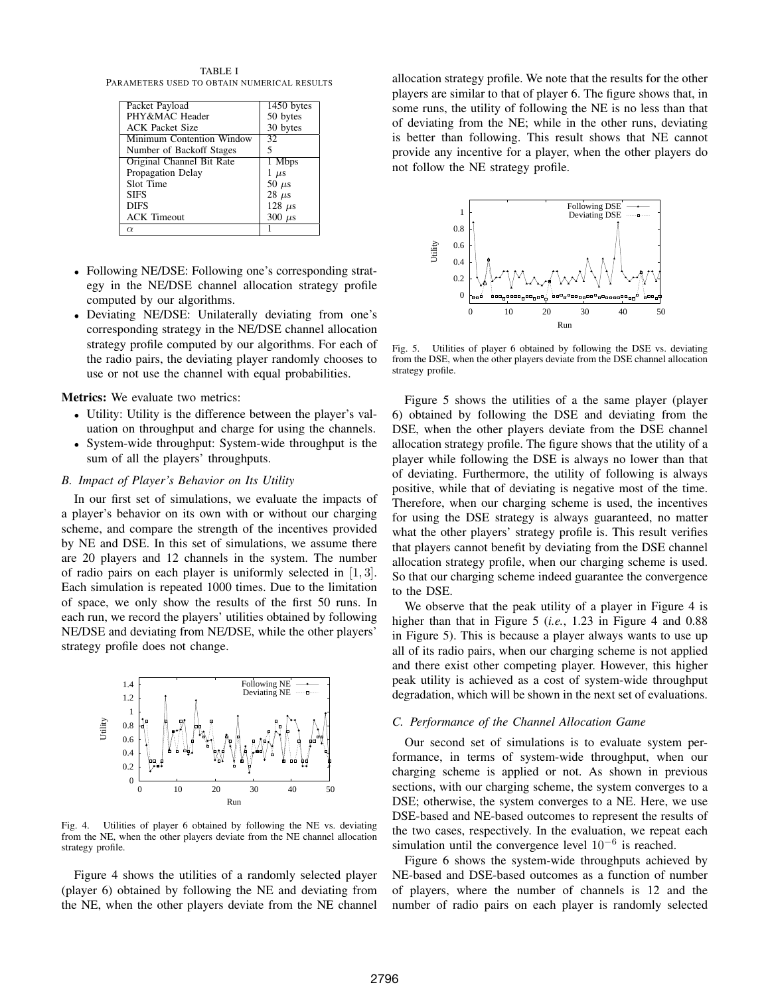TABLE I PARAMETERS USED TO OBTAIN NUMERICAL RESULTS

| Packet Payload            | 1450 bytes  |
|---------------------------|-------------|
| PHY&MAC Header            | 50 bytes    |
| <b>ACK Packet Size</b>    | 30 bytes    |
| Minimum Contention Window | 32          |
| Number of Backoff Stages  | 5           |
| Original Channel Bit Rate | 1 Mbps      |
| Propagation Delay         | $1 \mu s$   |
| Slot Time                 | 50 $\mu$ s  |
| <b>SIFS</b>               | $28 \mu s$  |
| <b>DIFS</b>               | 128 $\mu$ s |
| <b>ACK Timeout</b>        | $300 \mu s$ |
| $\alpha$                  |             |

- Following NE/DSE: Following one's corresponding strategy in the NE/DSE channel allocation strategy profile computed by our algorithms.
- Deviating NE/DSE: Unilaterally deviating from one's corresponding strategy in the NE/DSE channel allocation strategy profile computed by our algorithms. For each of the radio pairs, the deviating player randomly chooses to use or not use the channel with equal probabilities.

Metrics: We evaluate two metrics:

- *•* Utility: Utility is the difference between the player's valuation on throughput and charge for using the channels.
- *•* System-wide throughput: System-wide throughput is the sum of all the players' throughputs.

# *B. Impact of Player's Behavior on Its Utility*

In our first set of simulations, we evaluate the impacts of a player's behavior on its own with or without our charging scheme, and compare the strength of the incentives provided by NE and DSE. In this set of simulations, we assume there are 20 players and 12 channels in the system. The number of radio pairs on each player is uniformly selected in [1*,* 3]. Each simulation is repeated 1000 times. Due to the limitation of space, we only show the results of the first 50 runs. In each run, we record the players' utilities obtained by following NE/DSE and deviating from NE/DSE, while the other players' strategy profile does not change.



Fig. 4. Utilities of player 6 obtained by following the NE vs. deviating from the NE, when the other players deviate from the NE channel allocation strategy profile.

Figure 4 shows the utilities of a randomly selected player (player 6) obtained by following the NE and deviating from the NE, when the other players deviate from the NE channel allocation strategy profile. We note that the results for the other players are similar to that of player 6. The figure shows that, in some runs, the utility of following the NE is no less than that of deviating from the NE; while in the other runs, deviating is better than following. This result shows that NE cannot provide any incentive for a player, when the other players do not follow the NE strategy profile.



Fig. 5. Utilities of player 6 obtained by following the DSE vs. deviating from the DSE, when the other players deviate from the DSE channel allocation strategy profile.

Figure 5 shows the utilities of a the same player (player 6) obtained by following the DSE and deviating from the DSE, when the other players deviate from the DSE channel allocation strategy profile. The figure shows that the utility of a player while following the DSE is always no lower than that of deviating. Furthermore, the utility of following is always positive, while that of deviating is negative most of the time. Therefore, when our charging scheme is used, the incentives for using the DSE strategy is always guaranteed, no matter what the other players' strategy profile is. This result verifies that players cannot benefit by deviating from the DSE channel allocation strategy profile, when our charging scheme is used. So that our charging scheme indeed guarantee the convergence to the DSE.

We observe that the peak utility of a player in Figure 4 is higher than that in Figure 5 (*i.e.*, 1.23 in Figure 4 and 0.88 in Figure 5). This is because a player always wants to use up all of its radio pairs, when our charging scheme is not applied and there exist other competing player. However, this higher peak utility is achieved as a cost of system-wide throughput degradation, which will be shown in the next set of evaluations.

#### *C. Performance of the Channel Allocation Game*

Our second set of simulations is to evaluate system performance, in terms of system-wide throughput, when our charging scheme is applied or not. As shown in previous sections, with our charging scheme, the system converges to a DSE; otherwise, the system converges to a NE. Here, we use DSE-based and NE-based outcomes to represent the results of the two cases, respectively. In the evaluation, we repeat each simulation until the convergence level 10*−*<sup>6</sup> is reached.

Figure 6 shows the system-wide throughputs achieved by NE-based and DSE-based outcomes as a function of number of players, where the number of channels is 12 and the number of radio pairs on each player is randomly selected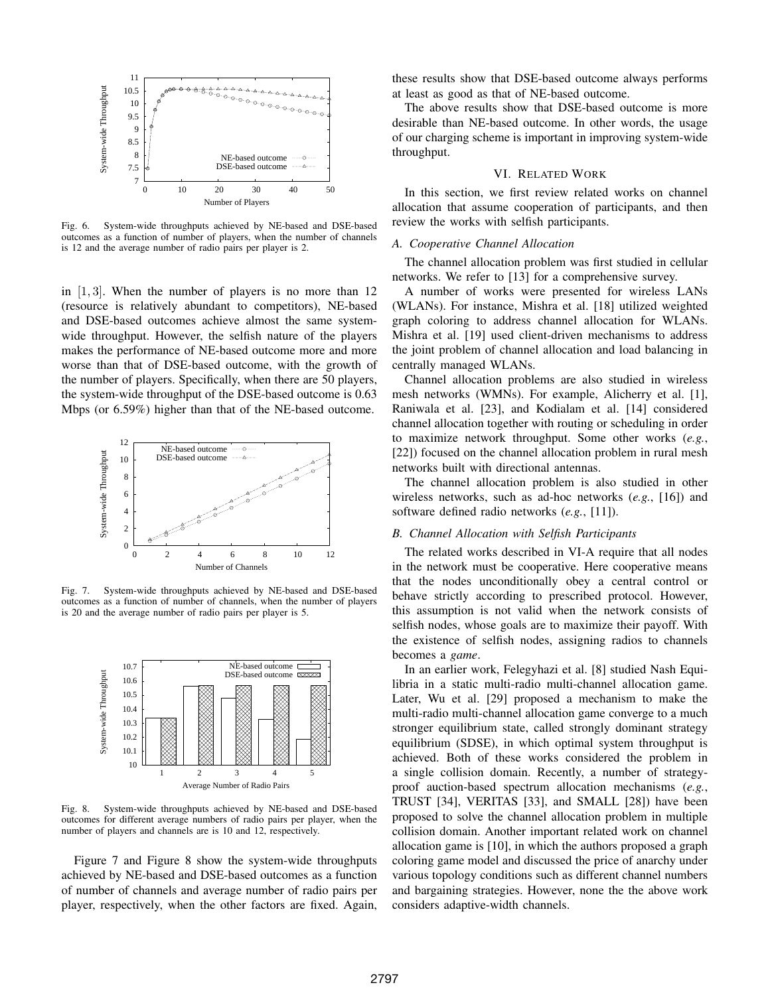

Fig. 6. System-wide throughputs achieved by NE-based and DSE-based outcomes as a function of number of players, when the number of channels is 12 and the average number of radio pairs per player is 2.

in [1*,* 3]. When the number of players is no more than 12 (resource is relatively abundant to competitors), NE-based and DSE-based outcomes achieve almost the same systemwide throughput. However, the selfish nature of the players makes the performance of NE-based outcome more and more worse than that of DSE-based outcome, with the growth of the number of players. Specifically, when there are 50 players, the system-wide throughput of the DSE-based outcome is 0.63 Mbps (or 6.59%) higher than that of the NE-based outcome.



Fig. 7. System-wide throughputs achieved by NE-based and DSE-based outcomes as a function of number of channels, when the number of players is 20 and the average number of radio pairs per player is 5.



Fig. 8. System-wide throughputs achieved by NE-based and DSE-based outcomes for different average numbers of radio pairs per player, when the number of players and channels are is 10 and 12, respectively.

Figure 7 and Figure 8 show the system-wide throughputs achieved by NE-based and DSE-based outcomes as a function of number of channels and average number of radio pairs per player, respectively, when the other factors are fixed. Again, these results show that DSE-based outcome always performs at least as good as that of NE-based outcome.

The above results show that DSE-based outcome is more desirable than NE-based outcome. In other words, the usage of our charging scheme is important in improving system-wide throughput.

# VI. RELATED WORK

In this section, we first review related works on channel allocation that assume cooperation of participants, and then review the works with selfish participants.

#### *A. Cooperative Channel Allocation*

The channel allocation problem was first studied in cellular networks. We refer to [13] for a comprehensive survey.

A number of works were presented for wireless LANs (WLANs). For instance, Mishra et al. [18] utilized weighted graph coloring to address channel allocation for WLANs. Mishra et al. [19] used client-driven mechanisms to address the joint problem of channel allocation and load balancing in centrally managed WLANs.

Channel allocation problems are also studied in wireless mesh networks (WMNs). For example, Alicherry et al. [1], Raniwala et al. [23], and Kodialam et al. [14] considered channel allocation together with routing or scheduling in order to maximize network throughput. Some other works (*e.g.*, [22]) focused on the channel allocation problem in rural mesh networks built with directional antennas.

The channel allocation problem is also studied in other wireless networks, such as ad-hoc networks (*e.g.*, [16]) and software defined radio networks (*e.g.*, [11]).

#### *B. Channel Allocation with Selfish Participants*

The related works described in VI-A require that all nodes in the network must be cooperative. Here cooperative means that the nodes unconditionally obey a central control or behave strictly according to prescribed protocol. However, this assumption is not valid when the network consists of selfish nodes, whose goals are to maximize their payoff. With the existence of selfish nodes, assigning radios to channels becomes a *game*.

In an earlier work, Felegyhazi et al. [8] studied Nash Equilibria in a static multi-radio multi-channel allocation game. Later, Wu et al. [29] proposed a mechanism to make the multi-radio multi-channel allocation game converge to a much stronger equilibrium state, called strongly dominant strategy equilibrium (SDSE), in which optimal system throughput is achieved. Both of these works considered the problem in a single collision domain. Recently, a number of strategyproof auction-based spectrum allocation mechanisms (*e.g.*, TRUST [34], VERITAS [33], and SMALL [28]) have been proposed to solve the channel allocation problem in multiple collision domain. Another important related work on channel allocation game is [10], in which the authors proposed a graph coloring game model and discussed the price of anarchy under various topology conditions such as different channel numbers and bargaining strategies. However, none the the above work considers adaptive-width channels.